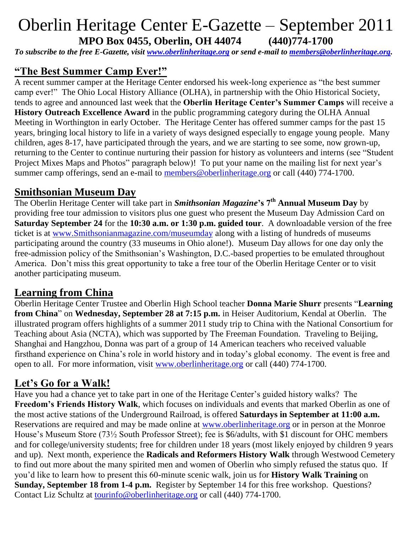# Oberlin Heritage Center E-Gazette – September 2011 **MPO Box 0455, Oberlin, OH 44074 (440)774-1700**

*To subscribe to the free E-Gazette, visit [www.oberlinheritage.org](http://www.oberlinheritage.org/) or send e-mail to [members@oberlinheritage.org.](mailto:members@oberlinheritage.org)*

## **"The Best Summer Camp Ever!"**

A recent summer camper at the Heritage Center endorsed his week-long experience as "the best summer camp ever!" The Ohio Local History Alliance (OLHA), in partnership with the Ohio Historical Society, tends to agree and announced last week that the **Oberlin Heritage Center's Summer Camps** will receive a **History Outreach Excellence Award** in the public programming category during the OLHA Annual Meeting in Worthington in early October. The Heritage Center has offered summer camps for the past 15 years, bringing local history to life in a variety of ways designed especially to engage young people. Many children, ages 8-17, have participated through the years, and we are starting to see some, now grown-up, returning to the Center to continue nurturing their passion for history as volunteers and interns (see "Student Project Mixes Maps and Photos" paragraph below)! To put your name on the mailing list for next year's summer camp offerings, send an e-mail to [members@oberlinheritage.org](mailto:members@oberlinheritage.org) or call (440) 774-1700.

#### **Smithsonian Museum Day**

The Oberlin Heritage Center will take part in *Smithsonian Magazine***'s 7th Annual Museum Day** by providing free tour admission to visitors plus one guest who present the Museum Day Admission Card on **Saturday September 24** for the **10:30 a.m. or 1:30 p.m. guided tour**. A downloadable version of the free ticket is at [www.Smithsonianmagazine.com/museumday](http://www.smithsonianmagazine.com/museumday) along with a listing of hundreds of museums participating around the country (33 museums in Ohio alone!). Museum Day allows for one day only the free-admission policy of the Smithsonian's Washington, D.C.-based properties to be emulated throughout America. Don't miss this great opportunity to take a free tour of the Oberlin Heritage Center or to visit another participating museum.

#### **Learning from China**

Oberlin Heritage Center Trustee and Oberlin High School teacher **Donna Marie Shurr** presents "**Learning from China**" on **Wednesday, September 28 at 7:15 p.m.** in Heiser Auditorium, Kendal at Oberlin. The illustrated program offers highlights of a summer 2011 study trip to China with the National Consortium for Teaching about Asia (NCTA), which was supported by The Freeman Foundation. Traveling to Beijing, Shanghai and Hangzhou, Donna was part of a group of 14 American teachers who received valuable firsthand experience on China's role in world history and in today's global economy. The event is free and open to all. For more information, visit [www.oberlinheritage.org](http://www.oberlinheritage.org/) or call (440) 774-1700.

### **Let's Go for a Walk!**

Have you had a chance yet to take part in one of the Heritage Center's guided history walks? The **Freedom's Friends History Walk**, which focuses on individuals and events that marked Oberlin as one of the most active stations of the Underground Railroad, is offered **Saturdays in September at 11:00 a.m.** Reservations are required and may be made online at [www.oberlinheritage.org](http://www.oberlinheritage.org/) or in person at the Monroe House's Museum Store (73½ South Professor Street); fee is \$6/adults, with \$1 discount for OHC members and for college/university students; free for children under 18 years (most likely enjoyed by children 9 years and up). Next month, experience the **Radicals and Reformers History Walk** through Westwood Cemetery to find out more about the many spirited men and women of Oberlin who simply refused the status quo. If you'd like to learn how to present this 60-minute scenic walk, join us for **History Walk Training** on **Sunday, September 18 from 1-4 p.m.** Register by September 14 for this free workshop. Questions? Contact Liz Schultz at [tourinfo@oberlinheritage.org](mailto:tourinfo@oberlinheritage.org) or call (440) 774-1700.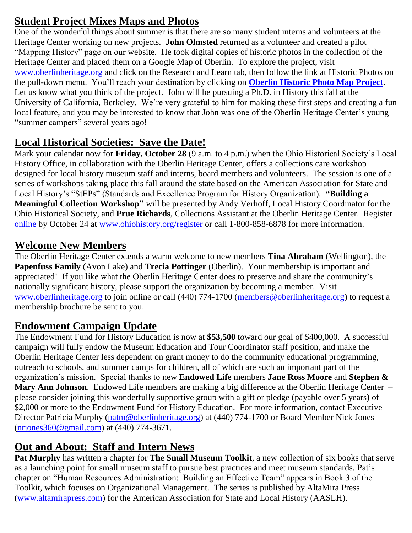# **Student Project Mixes Maps and Photos**

One of the wonderful things about summer is that there are so many student interns and volunteers at the Heritage Center working on new projects. **John Olmsted** returned as a volunteer and created a pilot "Mapping History" page on our website. He took digital copies of historic photos in the collection of the Heritage Center and placed them on a Google Map of Oberlin. To explore the project, visit [www.oberlinheritage.org](http://www.oberlinheritage.org/) and click on the Research and Learn tab, then follow the link at Historic Photos on the pull-down menu. You'll reach your destination by clicking on **[Oberlin Historic Photo Map Project](http://www.oberlinheritage.org/researchlearn/photomap)**. Let us know what you think of the project. John will be pursuing a Ph.D. in History this fall at the University of California, Berkeley. We're very grateful to him for making these first steps and creating a fun local feature, and you may be interested to know that John was one of the Oberlin Heritage Center's young "summer campers" several years ago!

# **Local Historical Societies: Save the Date!**

Mark your calendar now for **Friday, October 28** (9 a.m. to 4 p.m.) when the Ohio Historical Society's Local History Office, in collaboration with the Oberlin Heritage Center, offers a collections care workshop designed for local history museum staff and interns, board members and volunteers. The session is one of a series of workshops taking place this fall around the state based on the American Association for State and Local History's "StEPs" (Standards and Excellence Program for History Organization). **"Building a Meaningful Collection Workshop"** will be presented by Andy Verhoff, Local History Coordinator for the Ohio Historical Society, and **Prue Richards**, Collections Assistant at the Oberlin Heritage Center. Register [online](http://www.ohiohistorystore.com/AASLHs-StEPs-Workshops-for-Ohios-Local-History-Organizations-P8627C61.aspx?UserID=7389388&SessionID=OxyH%7bnfgO0DrrxUoqhVP) by October 24 at [www.ohiohistory.org/register](http://www.ohiohistory.org/register) or call 1-800-858-6878 for more information.

# **Welcome New Members**

The Oberlin Heritage Center extends a warm welcome to new members **Tina Abraham** (Wellington), the **Papenfuss Family** (Avon Lake) and **Trecia Pottinger** (Oberlin). Your membership is important and appreciated! If you like what the Oberlin Heritage Center does to preserve and share the community's nationally significant history, please support the organization by becoming a member. Visit [www.oberlinheritage.org](http://www.oberlinheritage.org/) to join online or call (440) 774-1700 [\(members@oberlinheritage.org\)](mailto:members@oberlinheritage.org) to request a membership brochure be sent to you.

#### **Endowment Campaign Update**

The Endowment Fund for History Education is now at **\$53,500** toward our goal of \$400,000. A successful campaign will fully endow the Museum Education and Tour Coordinator staff position, and make the Oberlin Heritage Center less dependent on grant money to do the community educational programming, outreach to schools, and summer camps for children, all of which are such an important part of the organization's mission. Special thanks to new **Endowed Life** members **Jane Ross Moore** and **Stephen & Mary Ann Johnson**. Endowed Life members are making a big difference at the Oberlin Heritage Center – please consider joining this wonderfully supportive group with a gift or pledge (payable over 5 years) of \$2,000 or more to the Endowment Fund for History Education. For more information, contact Executive Director Patricia Murphy [\(patm@oberlinheritage.org\)](mailto:patm@oberlinheritage.org) at (440) 774-1700 or Board Member Nick Jones [\(nrjones360@gmail.com\)](mailto:nrjones360@gmail.com) at (440) 774-3671.

### **Out and About: Staff and Intern News**

**Pat Murphy** has written a chapter for **The Small Museum Toolkit**, a new collection of six books that serve as a launching point for small museum staff to pursue best practices and meet museum standards. Pat's chapter on "Human Resources Administration: Building an Effective Team" appears in Book 3 of the Toolkit, which focuses on Organizational Management. The series is published by AltaMira Press [\(www.altamirapress.com\)](http://www.altamirapress.com/) for the American Association for State and Local History (AASLH).